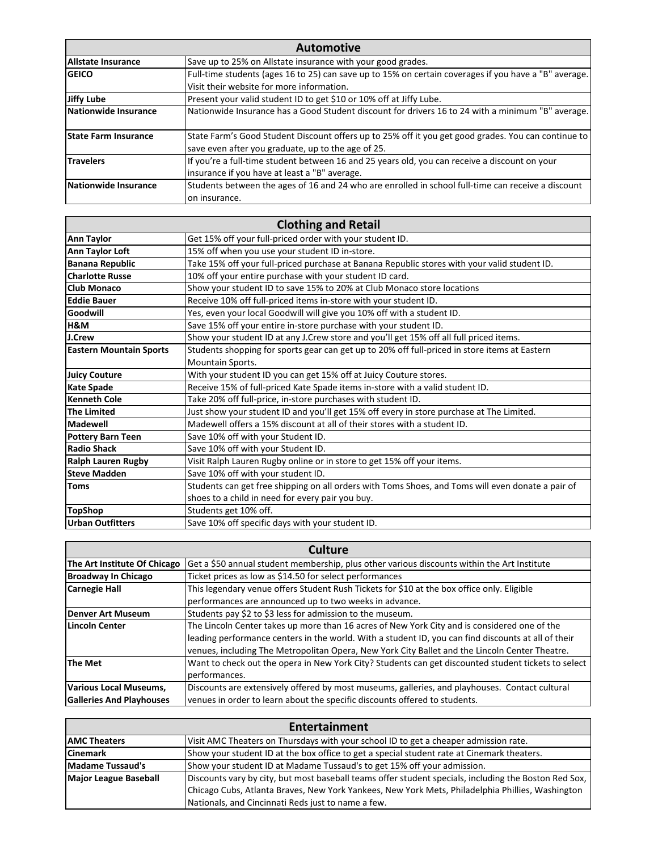| <b>Automotive</b>           |                                                                                                       |
|-----------------------------|-------------------------------------------------------------------------------------------------------|
| Allstate Insurance          | Save up to 25% on Allstate insurance with your good grades.                                           |
| <b>SEICO</b>                | Full-time students (ages 16 to 25) can save up to 15% on certain coverages if you have a "B" average. |
|                             | Visit their website for more information.                                                             |
| Jiffy Lube                  | Present your valid student ID to get \$10 or 10% off at Jiffy Lube.                                   |
| Nationwide Insurance        | Nationwide Insurance has a Good Student discount for drivers 16 to 24 with a minimum "B" average.     |
|                             |                                                                                                       |
| <b>State Farm Insurance</b> | State Farm's Good Student Discount offers up to 25% off it you get good grades. You can continue to   |
|                             | save even after you graduate, up to the age of 25.                                                    |
| <b>Travelers</b>            | If you're a full-time student between 16 and 25 years old, you can receive a discount on your         |
|                             | linsurance if you have at least a "B" average.                                                        |
| Nationwide Insurance        | Students between the ages of 16 and 24 who are enrolled in school full-time can receive a discount    |
|                             | lon insurance.                                                                                        |

| <b>Clothing and Retail</b>     |                                                                                                   |
|--------------------------------|---------------------------------------------------------------------------------------------------|
| Ann Taylor                     | Get 15% off your full-priced order with your student ID.                                          |
| <b>Ann Taylor Loft</b>         | 15% off when you use your student ID in-store.                                                    |
| <b>Banana Republic</b>         | Take 15% off your full-priced purchase at Banana Republic stores with your valid student ID.      |
| <b>Charlotte Russe</b>         | 10% off your entire purchase with your student ID card.                                           |
| <b>Club Monaco</b>             | Show your student ID to save 15% to 20% at Club Monaco store locations                            |
| Eddie Bauer                    | Receive 10% off full-priced items in-store with your student ID.                                  |
| Goodwill                       | Yes, even your local Goodwill will give you 10% off with a student ID.                            |
| H&M                            | Save 15% off your entire in-store purchase with your student ID.                                  |
| J.Crew                         | Show your student ID at any J.Crew store and you'll get 15% off all full priced items.            |
| <b>Eastern Mountain Sports</b> | Students shopping for sports gear can get up to 20% off full-priced in store items at Eastern     |
|                                | Mountain Sports.                                                                                  |
| <b>Juicy Couture</b>           | With your student ID you can get 15% off at Juicy Couture stores.                                 |
| <b>Kate Spade</b>              | Receive 15% of full-priced Kate Spade items in-store with a valid student ID.                     |
| Kenneth Cole                   | Take 20% off full-price, in-store purchases with student ID.                                      |
| <b>The Limited</b>             | Just show your student ID and you'll get 15% off every in store purchase at The Limited.          |
| Madewell                       | Madewell offers a 15% discount at all of their stores with a student ID.                          |
| <b>Pottery Barn Teen</b>       | Save 10% off with your Student ID.                                                                |
| Radio Shack                    | Save 10% off with your Student ID.                                                                |
| <b>Ralph Lauren Rugby</b>      | Visit Ralph Lauren Rugby online or in store to get 15% off your items.                            |
| <b>Steve Madden</b>            | Save 10% off with your student ID.                                                                |
| <b>Toms</b>                    | Students can get free shipping on all orders with Toms Shoes, and Toms will even donate a pair of |
|                                | shoes to a child in need for every pair you buy.                                                  |
| <b>TopShop</b>                 | Students get 10% off.                                                                             |
| Urban Outfitters               | Save 10% off specific days with your student ID.                                                  |

| Culture                         |                                                                                                     |
|---------------------------------|-----------------------------------------------------------------------------------------------------|
| The Art Institute Of Chicago    | Get a \$50 annual student membership, plus other various discounts within the Art Institute         |
| Broadway In Chicago             | Ticket prices as low as \$14.50 for select performances                                             |
| <b>Carnegie Hall</b>            | This legendary venue offers Student Rush Tickets for \$10 at the box office only. Eligible          |
|                                 | performances are announced up to two weeks in advance.                                              |
| Denver Art Museum               | Students pay \$2 to \$3 less for admission to the museum.                                           |
| Lincoln Center                  | The Lincoln Center takes up more than 16 acres of New York City and is considered one of the        |
|                                 | leading performance centers in the world. With a student ID, you can find discounts at all of their |
|                                 | venues, including The Metropolitan Opera, New York City Ballet and the Lincoln Center Theatre.      |
| The Met                         | Want to check out the opera in New York City? Students can get discounted student tickets to select |
|                                 | performances.                                                                                       |
| Various Local Museums,          | Discounts are extensively offered by most museums, galleries, and playhouses. Contact cultural      |
| <b>Galleries And Playhouses</b> | venues in order to learn about the specific discounts offered to students.                          |

| Entertainment                |                                                                                                       |
|------------------------------|-------------------------------------------------------------------------------------------------------|
| <b>AMC Theaters</b>          | Visit AMC Theaters on Thursdays with your school ID to get a cheaper admission rate.                  |
| <b>Cinemark</b>              | Show your student ID at the box office to get a special student rate at Cinemark theaters.            |
| Madame Tussaud's             | Show your student ID at Madame Tussaud's to get 15% off your admission.                               |
| <b>Major League Baseball</b> | Discounts vary by city, but most baseball teams offer student specials, including the Boston Red Sox, |
|                              | Chicago Cubs, Atlanta Braves, New York Yankees, New York Mets, Philadelphia Phillies, Washington      |
|                              | Nationals, and Cincinnati Reds just to name a few.                                                    |